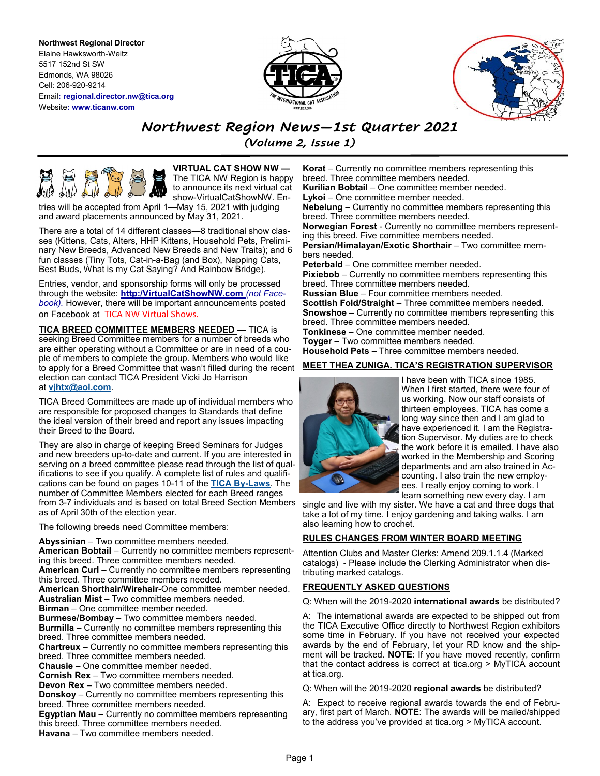**Northwest Regional Director** Elaine Hawksworth-Weitz 5517 152nd St SW Edmonds, WA 98026 Cell: 206-920-9214 Email**: regional.director.nw@tica.org** Website**: www.ticanw.com**





# *Northwest Region News—1st Quarter 2021*

*(Volume 2, Issue 1)*



**VIRTUAL CAT SHOW NW —** The TICA NW Region is happy to announce its next virtual cat show-VirtualCatShowNW. En-

tries will be accepted from April 1—May 15, 2021 with judging and award placements announced by May 31, 2021.

There are a total of 14 different classes—8 traditional show classes (Kittens, Cats, Alters, HHP Kittens, Household Pets, Preliminary New Breeds, Advanced New Breeds and New Traits); and 6 fun classes (Tiny Tots, Cat-in-a-Bag (and Box), Napping Cats, Best Buds, What is my Cat Saying? And Rainbow Bridge).

Entries, vendor, and sponsorship forms will only be processed through the website: **http:/VirtualCatShowNW.com** *(not Facebook).* However, there will be important announcements posted on Facebook at TICA NW Virtual Shows.

**TICA BREED COMMITTEE MEMBERS NEEDED —** TICA is seeking Breed Committee members for a number of breeds who are either operating without a Committee or are in need of a couple of members to complete the group. Members who would like to apply for a Breed Committee that wasn't filled during the recent election can contact TICA President Vicki Jo Harrison at **[vjhtx@aol.com](mailto:vjhtx@aol.com)**.

TICA Breed Committees are made up of individual members who are responsible for proposed changes to Standards that define the ideal version of their breed and report any issues impacting their Breed to the Board.

They are also in charge of keeping Breed Seminars for Judges and new breeders up-to-date and current. If you are interested in serving on a breed committee please read through the list of qualifications to see if you qualify. A complete list of rules and qualifications can be found on pages 10-11 of the **[TICA By](https://tica.org/phocadownload/bylaws19a.02122019.pdf)-Laws**. The number of Committee Members elected for each Breed ranges from 3-7 individuals and is based on total Breed Section Members as of April 30th of the election year.

The following breeds need Committee members:

**Abyssinian** – Two committee members needed.

**American Bobtail** – Currently no committee members representing this breed. Three committee members needed.

**American Curl** – Currently no committee members representing this breed. Three committee members needed.

**American Shorthair/Wirehair**-One committee member needed. **Australian Mist** – Two committee members needed.

**Birman** – One committee member needed.

**Burmese/Bombay** – Two committee members needed.

**Burmilla** – Currently no committee members representing this breed. Three committee members needed.

**Chartreux** – Currently no committee members representing this breed. Three committee members needed.

**Chausie** – One committee member needed.

**Cornish Rex** – Two committee members needed.

**Devon Rex** – Two committee members needed.

**Donskoy** – Currently no committee members representing this breed. Three committee members needed.

**Egyptian Mau** – Currently no committee members representing this breed. Three committee members needed.

**Havana** – Two committee members needed.

**Korat** – Currently no committee members representing this breed. Three committee members needed. **Kurilian Bobtail** – One committee member needed.

**Lykoi** – One committee member needed.

**Nebelung** – Currently no committee members representing this breed. Three committee members needed.

**Norwegian Forest** - Currently no committee members representing this breed. Five committee members needed.

**Persian/Himalayan/Exotic Shorthair** – Two committee members needed.

**Peterbald** – One committee member needed. **Pixiebob** – Currently no committee members representing this breed. Three committee members needed. **Russian Blue** – Four committee members needed.

**Scottish Fold/Straight** – Three committee members needed. **Snowshoe** – Currently no committee members representing this

breed. Three committee members needed. **Tonkinese** – One committee member needed.

**Toyger** – Two committee members needed.

**Household Pets** – Three committee members needed.

## **MEET THEA ZUNIGA. TICA'S REGISTRATION SUPERVISOR**



I have been with TICA since 1985. When I first started, there were four of us working. Now our staff consists of thirteen employees. TICA has come a long way since then and I am glad to have experienced it. I am the Registration Supervisor. My duties are to check the work before it is emailed. I have also worked in the Membership and Scoring departments and am also trained in Accounting. I also train the new employees. I really enjoy coming to work. I learn something new every day. I am

single and live with my sister. We have a cat and three dogs that take a lot of my time. I enjoy gardening and taking walks. I am also learning how to crochet.

# **RULES CHANGES FROM WINTER BOARD MEETING**

Attention Clubs and Master Clerks: Amend 209.1.1.4 (Marked catalogs) - Please include the Clerking Administrator when distributing marked catalogs.

# **FREQUENTLY ASKED QUESTIONS**

Q: When will the 2019-2020 **international awards** be distributed?

A: The international awards are expected to be shipped out from the TICA Executive Office directly to Northwest Region exhibitors some time in February. If you have not received your expected awards by the end of February, let your RD know and the shipment will be tracked. **NOTE**: If you have moved recently, confirm that the contact address is correct at tica.org > MyTICA account at tica.org.

Q: When will the 2019-2020 **regional awards** be distributed?

A: Expect to receive regional awards towards the end of February, first part of March. **NOTE**: The awards will be mailed/shipped to the address you've provided at tica.org > MyTICA account.